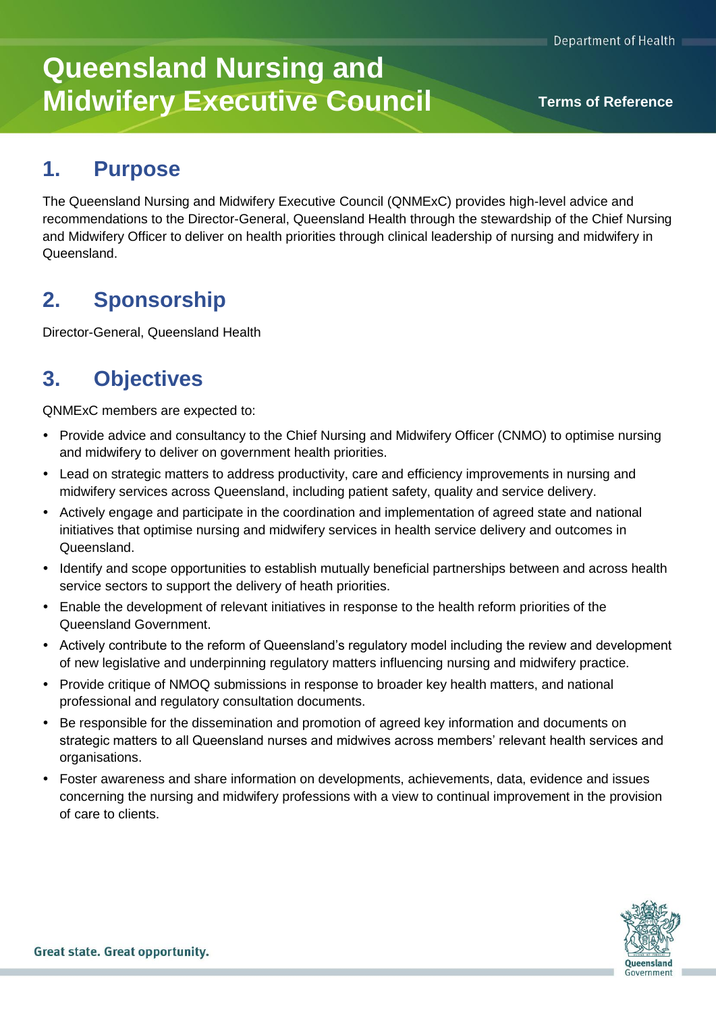# **Queensland Nursing and Midwifery Executive Council Terms of Reference**

### **1. Purpose**

The Queensland Nursing and Midwifery Executive Council (QNMExC) provides high-level advice and recommendations to the Director-General, Queensland Health through the stewardship of the Chief Nursing and Midwifery Officer to deliver on health priorities through clinical leadership of nursing and midwifery in Queensland.

### **2. Sponsorship**

Director-General, Queensland Health

### **3. Objectives**

QNMExC members are expected to:

- Provide advice and consultancy to the Chief Nursing and Midwifery Officer (CNMO) to optimise nursing and midwifery to deliver on government health priorities.
- Lead on strategic matters to address productivity, care and efficiency improvements in nursing and midwifery services across Queensland, including patient safety, quality and service delivery.
- Actively engage and participate in the coordination and implementation of agreed state and national initiatives that optimise nursing and midwifery services in health service delivery and outcomes in Queensland.
- Identify and scope opportunities to establish mutually beneficial partnerships between and across health service sectors to support the delivery of heath priorities.
- Enable the development of relevant initiatives in response to the health reform priorities of the Queensland Government.
- Actively contribute to the reform of Queensland's regulatory model including the review and development of new legislative and underpinning regulatory matters influencing nursing and midwifery practice.
- Provide critique of NMOQ submissions in response to broader key health matters, and national professional and regulatory consultation documents.
- Be responsible for the dissemination and promotion of agreed key information and documents on strategic matters to all Queensland nurses and midwives across members' relevant health services and organisations.
- Foster awareness and share information on developments, achievements, data, evidence and issues concerning the nursing and midwifery professions with a view to continual improvement in the provision of care to clients.

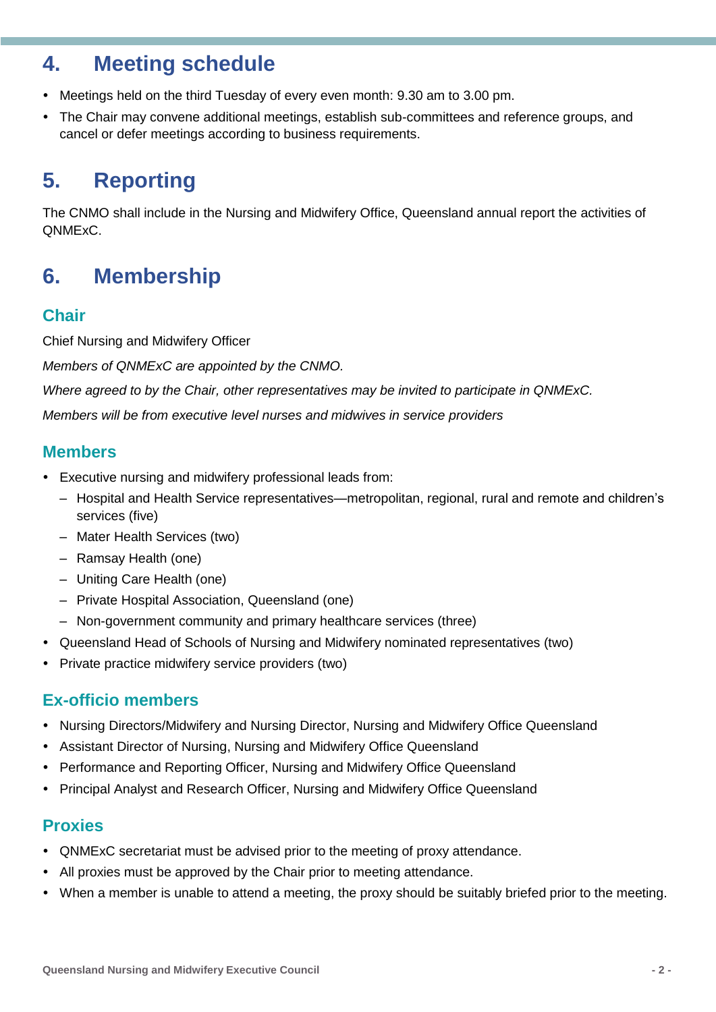### **4. Meeting schedule**

- Meetings held on the third Tuesday of every even month: 9.30 am to 3.00 pm.
- The Chair may convene additional meetings, establish sub-committees and reference groups, and cancel or defer meetings according to business requirements.

# **5. Reporting**

The CNMO shall include in the Nursing and Midwifery Office, Queensland annual report the activities of QNMExC.

# **6. Membership**

### **Chair**

Chief Nursing and Midwifery Officer

*Members of QNMExC are appointed by the CNMO.* 

*Where agreed to by the Chair, other representatives may be invited to participate in QNMExC.* 

*Members will be from executive level nurses and midwives in service providers* 

#### **Members**

- Executive nursing and midwifery professional leads from:
	- Hospital and Health Service representatives—metropolitan, regional, rural and remote and children's services (five)
	- Mater Health Services (two)
	- Ramsay Health (one)
	- Uniting Care Health (one)
	- Private Hospital Association, Queensland (one)
	- Non-government community and primary healthcare services (three)
- Queensland Head of Schools of Nursing and Midwifery nominated representatives (two)
- Private practice midwifery service providers (two)

### **Ex-officio members**

- Nursing Directors/Midwifery and Nursing Director, Nursing and Midwifery Office Queensland
- Assistant Director of Nursing, Nursing and Midwifery Office Queensland
- Performance and Reporting Officer, Nursing and Midwifery Office Queensland
- Principal Analyst and Research Officer, Nursing and Midwifery Office Queensland

### **Proxies**

- QNMExC secretariat must be advised prior to the meeting of proxy attendance.
- All proxies must be approved by the Chair prior to meeting attendance.
- When a member is unable to attend a meeting, the proxy should be suitably briefed prior to the meeting.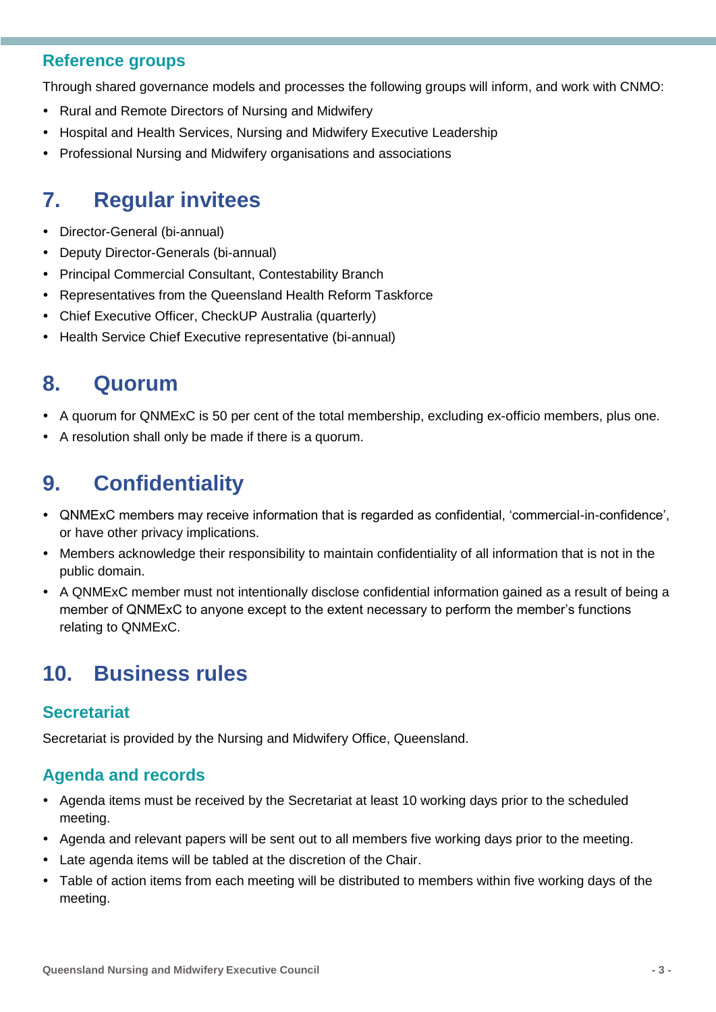#### **Reference groups**

Through shared governance models and processes the following groups will inform, and work with CNMO:

- Rural and Remote Directors of Nursing and Midwifery
- Hospital and Health Services, Nursing and Midwifery Executive Leadership
- Professional Nursing and Midwifery organisations and associations

### **7. Regular invitees**

- Director-General (bi-annual)
- Deputy Director-Generals (bi-annual)
- Principal Commercial Consultant, Contestability Branch
- Representatives from the Queensland Health Reform Taskforce
- Chief Executive Officer, CheckUP Australia (quarterly)
- Health Service Chief Executive representative (bi-annual)

### **8. Quorum**

- A quorum for QNMExC is 50 per cent of the total membership, excluding ex-officio members, plus one.
- A resolution shall only be made if there is a quorum.

### **9. Confidentiality**

- QNMExC members may receive information that is regarded as confidential, 'commercial-in-confidence', or have other privacy implications.
- Members acknowledge their responsibility to maintain confidentiality of all information that is not in the public domain.
- A QNMExC member must not intentionally disclose confidential information gained as a result of being a member of QNMExC to anyone except to the extent necessary to perform the member's functions relating to QNMExC.

## **10. Business rules**

### **Secretariat**

Secretariat is provided by the Nursing and Midwifery Office, Queensland.

### **Agenda and records**

- Agenda items must be received by the Secretariat at least 10 working days prior to the scheduled meeting.
- Agenda and relevant papers will be sent out to all members five working days prior to the meeting.
- Late agenda items will be tabled at the discretion of the Chair.
- Table of action items from each meeting will be distributed to members within five working days of the meeting.